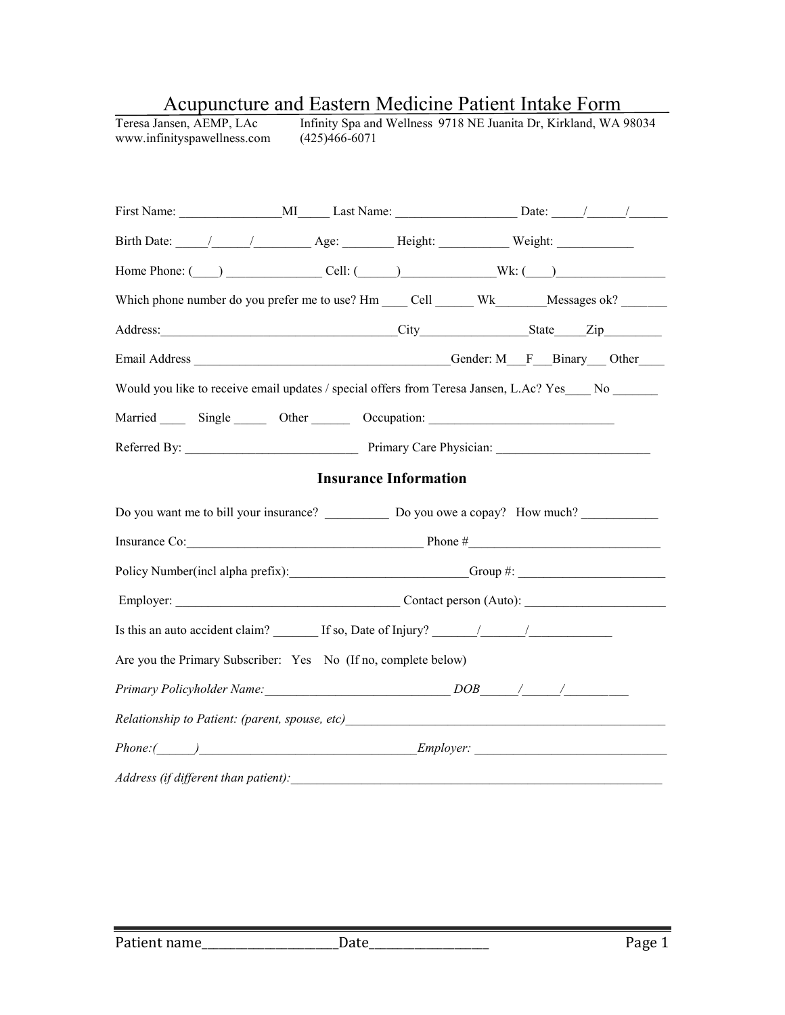| Home Phone: $\qquad \qquad$ Cell: $\qquad \qquad$ Cell: $\qquad \qquad$ Wk: $\qquad \qquad$                                                                                                                                                                                                        |                              |  |  |  |
|----------------------------------------------------------------------------------------------------------------------------------------------------------------------------------------------------------------------------------------------------------------------------------------------------|------------------------------|--|--|--|
| Which phone number do you prefer me to use? Hm ____ Cell ______ Wk_______Messages ok? ______                                                                                                                                                                                                       |                              |  |  |  |
|                                                                                                                                                                                                                                                                                                    |                              |  |  |  |
|                                                                                                                                                                                                                                                                                                    |                              |  |  |  |
| Would you like to receive email updates / special offers from Teresa Jansen, L.Ac? Yes No                                                                                                                                                                                                          |                              |  |  |  |
| Married Single Other Cocupation:                                                                                                                                                                                                                                                                   |                              |  |  |  |
|                                                                                                                                                                                                                                                                                                    |                              |  |  |  |
|                                                                                                                                                                                                                                                                                                    |                              |  |  |  |
|                                                                                                                                                                                                                                                                                                    | <b>Insurance Information</b> |  |  |  |
|                                                                                                                                                                                                                                                                                                    |                              |  |  |  |
|                                                                                                                                                                                                                                                                                                    |                              |  |  |  |
|                                                                                                                                                                                                                                                                                                    |                              |  |  |  |
|                                                                                                                                                                                                                                                                                                    |                              |  |  |  |
|                                                                                                                                                                                                                                                                                                    |                              |  |  |  |
|                                                                                                                                                                                                                                                                                                    |                              |  |  |  |
| Insurance Co: $\qquad \qquad$ Phone #<br>Policy Number(incl alpha prefix): Group #: Group #:<br>Is this an auto accident claim? $\frac{1}{\sqrt{1-\frac{1}{n}}}\int$ If so, Date of Injury? $\frac{1}{\sqrt{1-\frac{1}{n}}}\int$<br>Are you the Primary Subscriber: Yes No (If no, complete below) |                              |  |  |  |
| Relationship to Patient: (parent, spouse, etc) __________________________________                                                                                                                                                                                                                  |                              |  |  |  |

# Acupuncture and Eastern Medicine Patient Intake Form<br>Teresa Jansen, AEMP, LAc Infinity Spa and Wellness 9718 NE Juanita Dr, Kirkland, WA 9

Teresa Jansen, AEMP, LAc Infinity Spa and Wellness 9718 NE Juanita Dr, Kirkland, WA 98034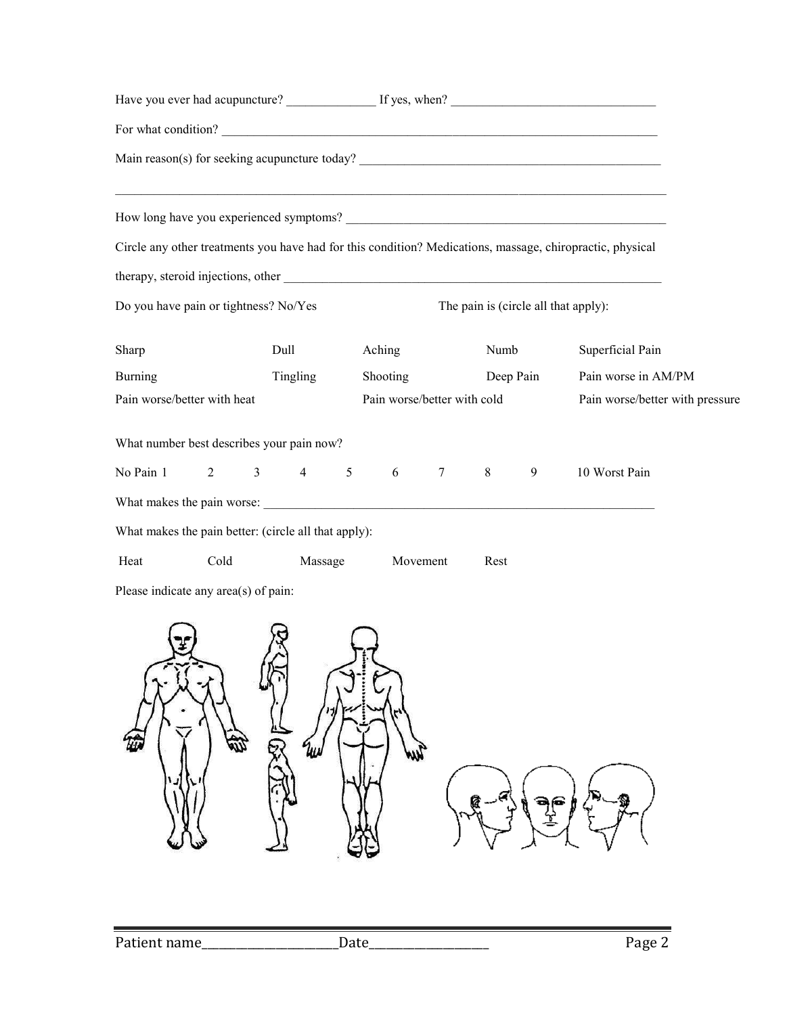|                                                      |                |                |                |                 |          |                             |         |           | For what condition?                                                                                       |  |
|------------------------------------------------------|----------------|----------------|----------------|-----------------|----------|-----------------------------|---------|-----------|-----------------------------------------------------------------------------------------------------------|--|
|                                                      |                |                |                |                 |          |                             |         |           |                                                                                                           |  |
|                                                      |                |                |                |                 |          |                             |         |           | <u> 1989 - Johann Stoff, amerikansk politiker (d. 1989)</u>                                               |  |
|                                                      |                |                |                |                 |          |                             |         |           | Circle any other treatments you have had for this condition? Medications, massage, chiropractic, physical |  |
|                                                      |                |                |                |                 |          |                             |         |           |                                                                                                           |  |
| Do you have pain or tightness? No/Yes                |                |                |                |                 |          |                             |         |           | The pain is (circle all that apply):                                                                      |  |
| Sharp                                                |                | Dull           |                |                 | Aching   |                             | Numb    |           | Superficial Pain                                                                                          |  |
| <b>Burning</b>                                       |                |                | Tingling       |                 | Shooting |                             |         | Deep Pain | Pain worse in AM/PM                                                                                       |  |
| Pain worse/better with heat                          |                |                |                |                 |          | Pain worse/better with cold |         |           | Pain worse/better with pressure                                                                           |  |
| What number best describes your pain now?            |                |                |                |                 |          |                             |         |           |                                                                                                           |  |
| No Pain 1                                            | $\overline{2}$ | 3 <sup>1</sup> | $\overline{4}$ | $5\overline{)}$ | 6        | $\overline{7}$              | $\,8\,$ | 9         | 10 Worst Pain                                                                                             |  |
|                                                      |                |                |                |                 |          |                             |         |           |                                                                                                           |  |
| What makes the pain better: (circle all that apply): |                |                |                |                 |          |                             |         |           |                                                                                                           |  |
| Heat                                                 | Cold           |                | Massage        |                 |          | Movement                    | Rest    |           |                                                                                                           |  |
| Please indicate any area(s) of pain:                 |                |                |                |                 |          |                             |         |           |                                                                                                           |  |
|                                                      |                |                |                |                 |          |                             |         |           |                                                                                                           |  |
|                                                      |                |                |                |                 |          |                             |         |           |                                                                                                           |  |
|                                                      |                |                |                |                 |          |                             |         |           |                                                                                                           |  |

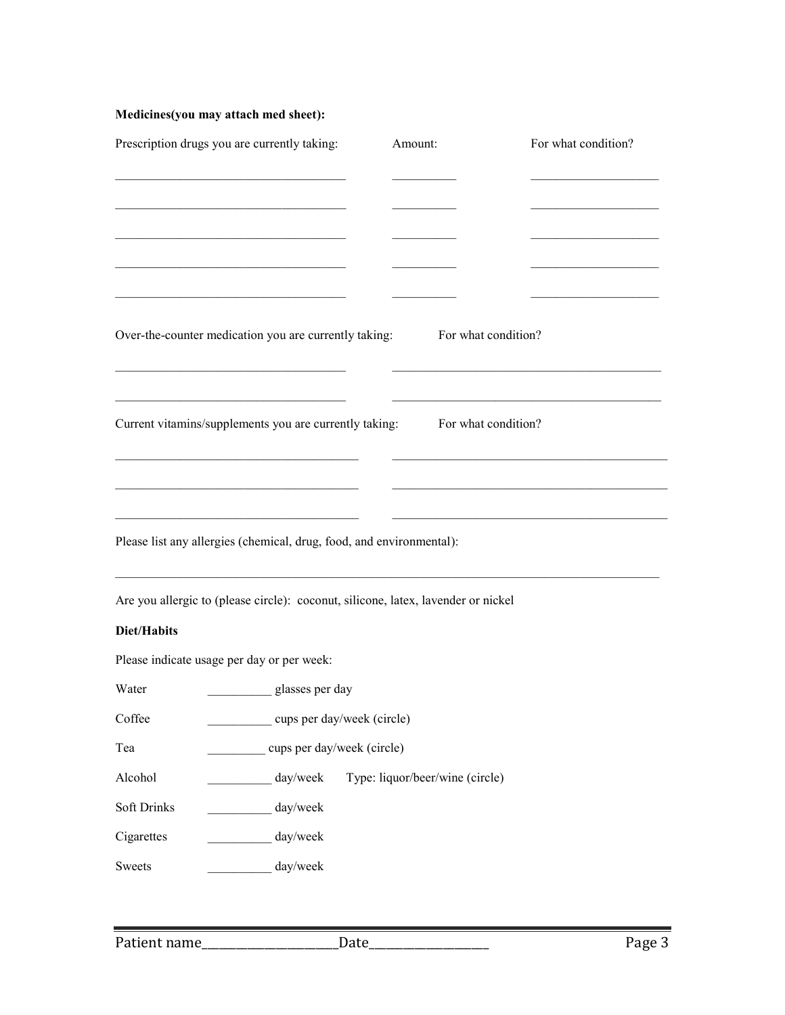# **Medicines(you may attach med sheet):**

|             | Prescription drugs you are currently taking:                                                                                                                                                                                         | Amount:                         | For what condition? |
|-------------|--------------------------------------------------------------------------------------------------------------------------------------------------------------------------------------------------------------------------------------|---------------------------------|---------------------|
|             |                                                                                                                                                                                                                                      |                                 |                     |
|             |                                                                                                                                                                                                                                      |                                 |                     |
|             |                                                                                                                                                                                                                                      |                                 |                     |
|             |                                                                                                                                                                                                                                      |                                 |                     |
|             | Over-the-counter medication you are currently taking: For what condition?                                                                                                                                                            |                                 |                     |
|             | <u> 1989 - Johann John Harry John Harry John Harry John Harry John Harry John Harry John Harry John Harry John Harry John Harry John Harry John Harry John Harry John Harry John Harry John Harry John Harry John Harry John Har</u> |                                 |                     |
|             | Current vitamins/supplements you are currently taking: For what condition?                                                                                                                                                           |                                 |                     |
|             |                                                                                                                                                                                                                                      |                                 |                     |
|             |                                                                                                                                                                                                                                      |                                 |                     |
|             | <u> 1989 - Johann Barbara, martin amerikan basar dan berasal dalam basas dalam basas dalam basas dalam basas dala</u><br>Please list any allergies (chemical, drug, food, and environmental):                                        |                                 |                     |
|             |                                                                                                                                                                                                                                      |                                 |                     |
|             | Are you allergic to (please circle): coconut, silicone, latex, lavender or nickel                                                                                                                                                    |                                 |                     |
| Diet/Habits |                                                                                                                                                                                                                                      |                                 |                     |
|             | Please indicate usage per day or per week:                                                                                                                                                                                           |                                 |                     |
| Water       | glasses per day                                                                                                                                                                                                                      |                                 |                     |
| Coffee      | _ cups per day/week (circle)                                                                                                                                                                                                         |                                 |                     |
| Tea         | cups per day/week (circle)                                                                                                                                                                                                           |                                 |                     |
| Alcohol     | day/week                                                                                                                                                                                                                             | Type: liquor/beer/wine (circle) |                     |
| Soft Drinks | day/week                                                                                                                                                                                                                             |                                 |                     |
| Cigarettes  | day/week                                                                                                                                                                                                                             |                                 |                     |
| Sweets      | day/week                                                                                                                                                                                                                             |                                 |                     |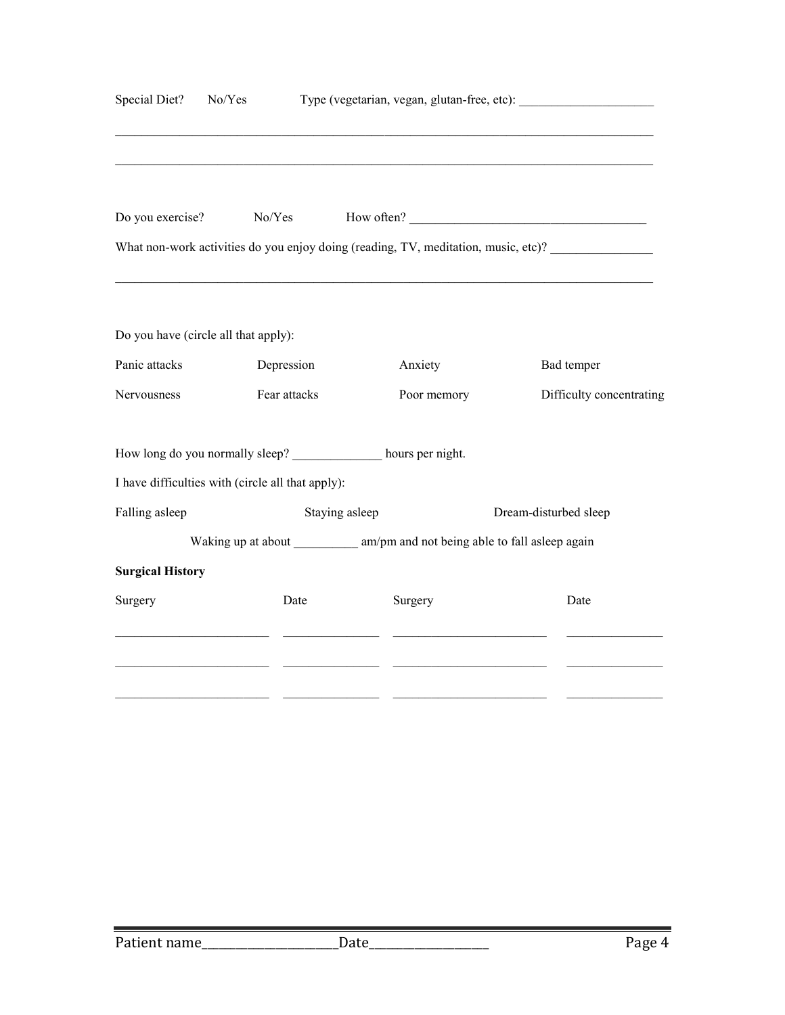| Special Diet?                                     | No/Yes |                |                                                                               |                                                                                    |
|---------------------------------------------------|--------|----------------|-------------------------------------------------------------------------------|------------------------------------------------------------------------------------|
| Do you exercise?                                  |        | No/Yes         | How often?                                                                    |                                                                                    |
|                                                   |        |                |                                                                               | What non-work activities do you enjoy doing (reading, TV, meditation, music, etc)? |
| Do you have (circle all that apply):              |        |                |                                                                               |                                                                                    |
| Panic attacks                                     |        | Depression     | Anxiety                                                                       | Bad temper                                                                         |
| Nervousness                                       |        | Fear attacks   | Poor memory                                                                   | Difficulty concentrating                                                           |
|                                                   |        |                | How long do you normally sleep? _____________ hours per night.                |                                                                                    |
| I have difficulties with (circle all that apply): |        |                |                                                                               |                                                                                    |
| Falling asleep                                    |        | Staying asleep |                                                                               | Dream-disturbed sleep                                                              |
|                                                   |        |                | Waking up at about ____________ am/pm and not being able to fall asleep again |                                                                                    |
| <b>Surgical History</b>                           |        |                |                                                                               |                                                                                    |
| Surgery                                           |        | Date           | Surgery                                                                       | Date                                                                               |
|                                                   |        |                |                                                                               |                                                                                    |
|                                                   |        |                |                                                                               |                                                                                    |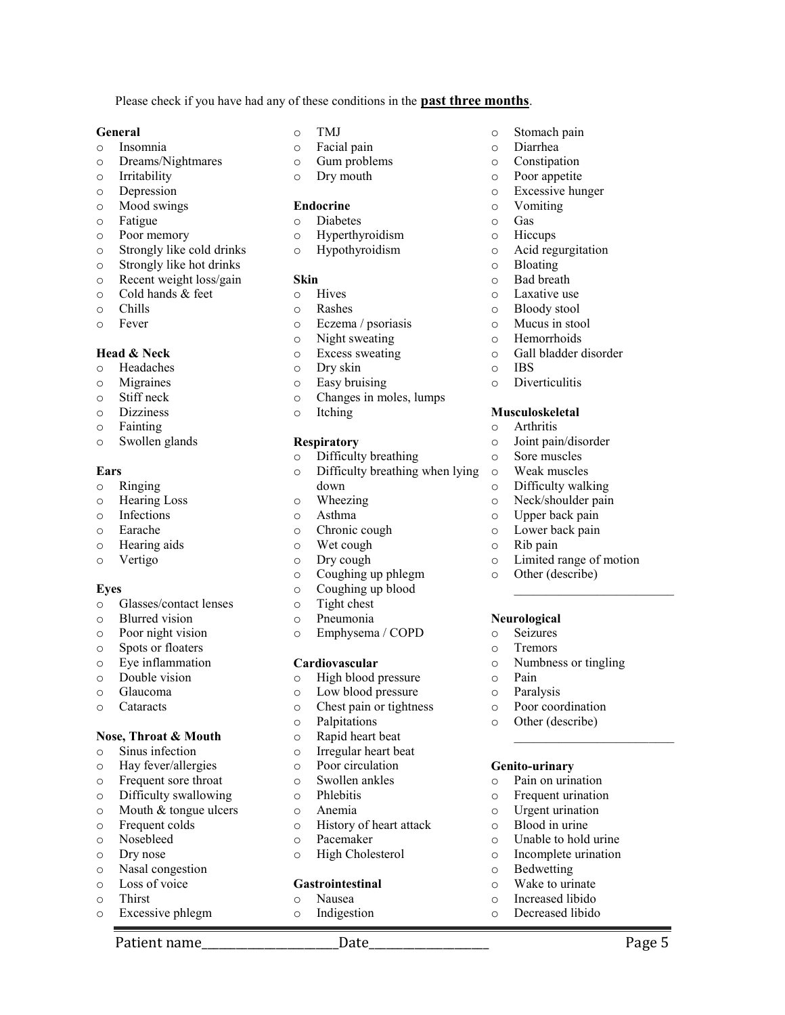Please check if you have had any of these conditions in the **past three months**.

#### **General**

- o Insomnia
- o Dreams/Nightmares
- o Irritability
- o Depression
- o Mood swings
- o Fatigue
- o Poor memory
- o Strongly like cold drinks
- o Strongly like hot drinks
- o Recent weight loss/gain
- o Cold hands & feet
- o Chills
- o Fever

# **Head & Neck**

- o Headaches
- o Migraines
- o Stiff neck
- o Dizziness
- o Fainting
- o Swollen glands

# **Ears**

- o Ringing
- o Hearing Loss
- o Infections
- o Earache
- o Hearing aids
- o Vertigo

#### **Eyes**

- o Glasses/contact lenses
- o Blurred vision
- o Poor night vision
- o Spots or floaters
- o Eye inflammation
- o Double vision
- o Glaucoma
- o Cataracts

## **Nose, Throat & Mouth**

- o Sinus infection
- o Hay fever/allergies
- o Frequent sore throat
- o Difficulty swallowing
- o Mouth & tongue ulcers
- o Frequent colds
- o Nosebleed
- o Dry nose
- o Nasal congestion o Loss of voice
- o Thirst
- 
- o Excessive phlegm
- o TMJ
- o Facial pain
- o Gum problems
- o Dry mouth

#### **Endocrine**

- o Diabetes
- o Hyperthyroidism
- o Hypothyroidism

#### **Skin**

- o Hives
- o Rashes
- o Eczema / psoriasis
- o Night sweating
- o Excess sweating
- o Dry skin
- o Easy bruising
- o Changes in moles, lumps
- o Itching

# **Respiratory**

- o Difficulty breathing
- o Difficulty breathing when lying down
- o Wheezing
- o Asthma
- o Chronic cough
- o Wet cough
- o Dry cough
- o Coughing up phlegm
- o Coughing up blood
- o Tight chest
- o Pneumonia
- o Emphysema / COPD

# **Cardiovascular**

- o High blood pressure
- o Low blood pressure
- o Chest pain or tightness
- o Palpitations
- o Rapid heart beat
- o Irregular heart beat
- o Poor circulation
- o Swollen ankles
- o Phlebitis
- o Anemia
- o History of heart attack

Patient name The Contract of the Date of the Page 2 and Page 5

- o Pacemaker
- o High Cholesterol

#### **Gastrointestinal**

- o Nausea
- o Indigestion

o Stomach pain

o Acid regurgitation

o Gall bladder disorder

o Diverticulitis

**Musculoskeletal**  o Arthritis

o Joint pain/disorder o Sore muscles o Weak muscles o Difficulty walking o Neck/shoulder pain o Upper back pain o Lower back pain o Rib pain

o Limited range of motion

o Numbness or tingling

o Poor coordination o Other (describe)

**Genito-urinary**  o Pain on urination o Frequent urination o Urgent urination o Blood in urine o Unable to hold urine o Incomplete urination

o Bedwetting o Wake to urinate o Increased libido o Decreased libido

\_\_\_\_\_\_\_\_\_\_\_\_\_\_\_\_\_\_\_\_\_\_\_\_\_

\_\_\_\_\_\_\_\_\_\_\_\_\_\_\_\_\_\_\_\_\_\_\_\_\_

o Other (describe)

**Neurological**  o Seizures o Tremors

o Pain o Paralysis

o Diarrhea o Constipation o Poor appetite o Excessive hunger o Vomiting o Gas o Hiccups

o Bloating o Bad breath o Laxative use o Bloody stool o Mucus in stool o Hemorrhoids

o IBS